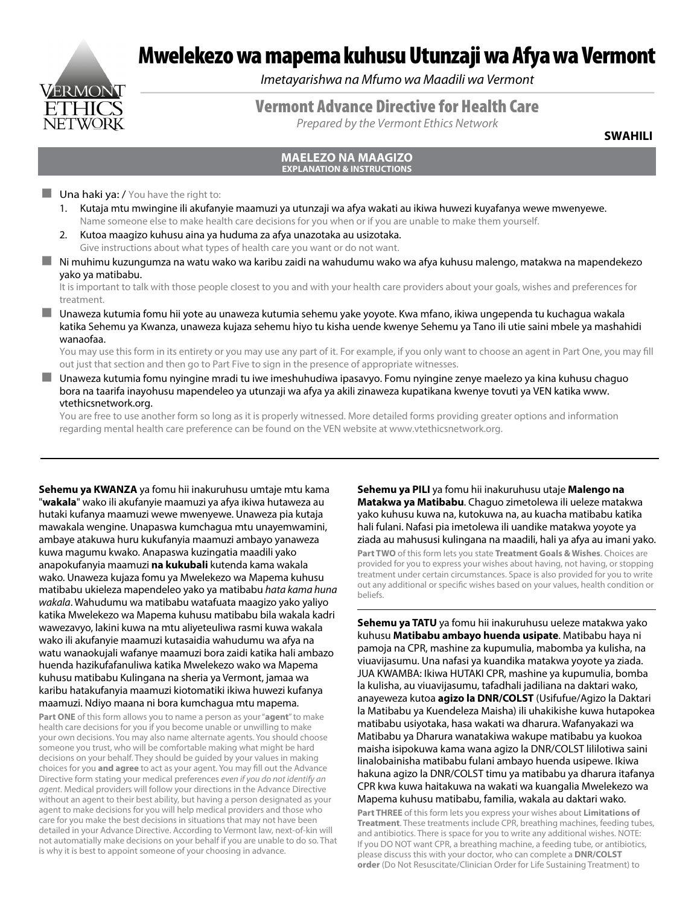# VERMONT

Mwelekezo wa mapema kuhusu Utunzaji wa Afya wa Vermont

*Imetayarishwa na Mfumo wa Maadili wa Vermont*

## Vermont Advance Directive for Health Care

*Prepared by the Vermont Ethics Network*

**SWAHILI**

#### **MAELEZO NA MAAGIZO EXPLANATION & INSTRUCTIONS**

#### $\blacksquare$  Una haki ya: / You have the right to:

- 1. Kutaja mtu mwingine ili akufanyie maamuzi ya utunzaji wa afya wakati au ikiwa huwezi kuyafanya wewe mwenyewe. Name someone else to make health care decisions for you when or if you are unable to make them yourself.
- 2. Kutoa maagizo kuhusu aina ya huduma za afya unazotaka au usizotaka. Give instructions about what types of health care you want or do not want.
- Ni muhimu kuzungumza na watu wako wa karibu zaidi na wahudumu wako wa afya kuhusu malengo, matakwa na mapendekezo yako ya matibabu.

It is important to talk with those people closest to you and with your health care providers about your goals, wishes and preferences for treatment.

 Unaweza kutumia fomu hii yote au unaweza kutumia sehemu yake yoyote. Kwa mfano, ikiwa ungependa tu kuchagua wakala katika Sehemu ya Kwanza, unaweza kujaza sehemu hiyo tu kisha uende kwenye Sehemu ya Tano ili utie saini mbele ya mashahidi wanaofaa.

You may use this form in its entirety or you may use any part of it. For example, if you only want to choose an agent in Part One, you may fill out just that section and then go to Part Five to sign in the presence of appropriate witnesses.

 Unaweza kutumia fomu nyingine mradi tu iwe imeshuhudiwa ipasavyo. Fomu nyingine zenye maelezo ya kina kuhusu chaguo bora na taarifa inayohusu mapendeleo ya utunzaji wa afya ya akili zinaweza kupatikana kwenye tovuti ya VEN katika www. vtethicsnetwork.org.

You are free to use another form so long as it is properly witnessed. More detailed forms providing greater options and information regarding mental health care preference can be found on the VEN website at www.vtethicsnetwork.org.

**Sehemu ya KWANZA** ya fomu hii inakuruhusu umtaje mtu kama "**wakala**" wako ili akufanyie maamuzi ya afya ikiwa hutaweza au hutaki kufanya maamuzi wewe mwenyewe. Unaweza pia kutaja mawakala wengine. Unapaswa kumchagua mtu unayemwamini, ambaye atakuwa huru kukufanyia maamuzi ambayo yanaweza kuwa magumu kwako. Anapaswa kuzingatia maadili yako anapokufanyia maamuzi **na kukubali** kutenda kama wakala wako. Unaweza kujaza fomu ya Mwelekezo wa Mapema kuhusu matibabu ukieleza mapendeleo yako ya matibabu *hata kama huna wakala*. Wahudumu wa matibabu watafuata maagizo yako yaliyo katika Mwelekezo wa Mapema kuhusu matibabu bila wakala kadri wawezavyo, lakini kuwa na mtu aliyeteuliwa rasmi kuwa wakala wako ili akufanyie maamuzi kutasaidia wahudumu wa afya na watu wanaokujali wafanye maamuzi bora zaidi katika hali ambazo huenda hazikufafanuliwa katika Mwelekezo wako wa Mapema kuhusu matibabu Kulingana na sheria ya Vermont, jamaa wa karibu hatakufanyia maamuzi kiotomatiki ikiwa huwezi kufanya maamuzi. Ndiyo maana ni bora kumchagua mtu mapema.

**Part ONE** of this form allows you to name a person as your "**agent**" to make health care decisions for you if you become unable or unwilling to make your own decisions. You may also name alternate agents. You should choose someone you trust, who will be comfortable making what might be hard decisions on your behalf. They should be guided by your values in making choices for you **and agree** to act as your agent. You may fill out the Advance Directive form stating your medical preferences *even if you do not identify an agent*. Medical providers will follow your directions in the Advance Directive without an agent to their best ability, but having a person designated as your agent to make decisions for you will help medical providers and those who care for you make the best decisions in situations that may not have been detailed in your Advance Directive. According to Vermont law, next-of-kin will not automatially make decisions on your behalf if you are unable to do so. That is why it is best to appoint someone of your choosing in advance.

**Sehemu ya PILI** ya fomu hii inakuruhusu utaje **Malengo na Matakwa ya Matibabu**. Chaguo zimetolewa ili ueleze matakwa yako kuhusu kuwa na, kutokuwa na, au kuacha matibabu katika hali fulani. Nafasi pia imetolewa ili uandike matakwa yoyote ya ziada au mahususi kulingana na maadili, hali ya afya au imani yako.

**Part TWO** of this form lets you state **Treatment Goals & Wishes**. Choices are provided for you to express your wishes about having, not having, or stopping treatment under certain circumstances. Space is also provided for you to write out any additional or specific wishes based on your values, health condition or beliefs.

**Sehemu ya TATU** ya fomu hii inakuruhusu ueleze matakwa yako kuhusu **Matibabu ambayo huenda usipate**. Matibabu haya ni pamoja na CPR, mashine za kupumulia, mabomba ya kulisha, na viuavijasumu. Una nafasi ya kuandika matakwa yoyote ya ziada. JUA KWAMBA: Ikiwa HUTAKI CPR, mashine ya kupumulia, bomba la kulisha, au viuavijasumu, tafadhali jadiliana na daktari wako, anayeweza kutoa **agizo la DNR/COLST** (Usifufue/Agizo la Daktari la Matibabu ya Kuendeleza Maisha) ili uhakikishe kuwa hutapokea matibabu usiyotaka, hasa wakati wa dharura. Wafanyakazi wa Matibabu ya Dharura wanatakiwa wakupe matibabu ya kuokoa maisha isipokuwa kama wana agizo la DNR/COLST lililotiwa saini linalobainisha matibabu fulani ambayo huenda usipewe. Ikiwa hakuna agizo la DNR/COLST timu ya matibabu ya dharura itafanya CPR kwa kuwa haitakuwa na wakati wa kuangalia Mwelekezo wa Mapema kuhusu matibabu, familia, wakala au daktari wako.

**Part THREE** of this form lets you express your wishes about **Limitations of Treatment**. These treatments include CPR, breathing machines, feeding tubes, and antibiotics. There is space for you to write any additional wishes. NOTE: If you DO NOT want CPR, a breathing machine, a feeding tube, or antibiotics, please discuss this with your doctor, who can complete a **DNR/COLST order** (Do Not Resuscitate/Clinician Order for Life Sustaining Treatment) to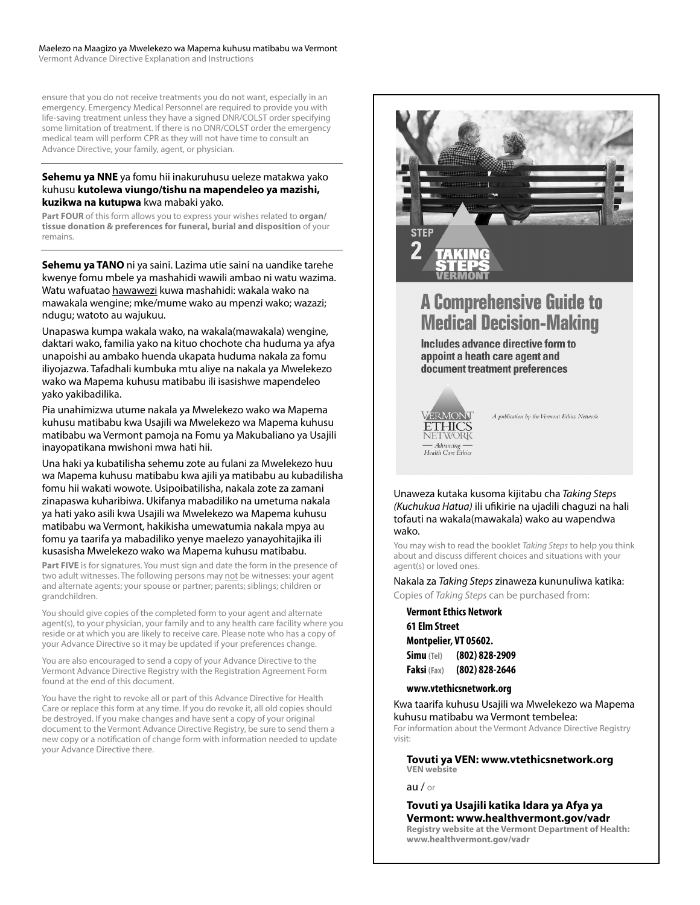#### Maelezo na Maagizo ya Mwelekezo wa Mapema kuhusu matibabu wa Vermont

Vermont Advance Directive Explanation and Instructions

ensure that you do not receive treatments you do not want, especially in an emergency. Emergency Medical Personnel are required to provide you with life-saving treatment unless they have a signed DNR/COLST order specifying some limitation of treatment. If there is no DNR/COLST order the emergency medical team will perform CPR as they will not have time to consult an Advance Directive, your family, agent, or physician.

#### **Sehemu ya NNE** ya fomu hii inakuruhusu ueleze matakwa yako kuhusu **kutolewa viungo/tishu na mapendeleo ya mazishi, kuzikwa na kutupwa** kwa mabaki yako.

**Part FOUR** of this form allows you to express your wishes related to **organ/ tissue donation & preferences for funeral, burial and disposition** of your remains.

**Sehemu ya TANO** ni ya saini. Lazima utie saini na uandike tarehe kwenye fomu mbele ya mashahidi wawili ambao ni watu wazima. Watu wafuatao hawawezi kuwa mashahidi: wakala wako na mawakala wengine; mke/mume wako au mpenzi wako; wazazi; ndugu; watoto au wajukuu.

Unapaswa kumpa wakala wako, na wakala(mawakala) wengine, daktari wako, familia yako na kituo chochote cha huduma ya afya unapoishi au ambako huenda ukapata huduma nakala za fomu iliyojazwa. Tafadhali kumbuka mtu aliye na nakala ya Mwelekezo wako wa Mapema kuhusu matibabu ili isasishwe mapendeleo yako yakibadilika.

Pia unahimizwa utume nakala ya Mwelekezo wako wa Mapema kuhusu matibabu kwa Usajili wa Mwelekezo wa Mapema kuhusu matibabu wa Vermont pamoja na Fomu ya Makubaliano ya Usajili inayopatikana mwishoni mwa hati hii.

Una haki ya kubatilisha sehemu zote au fulani za Mwelekezo huu wa Mapema kuhusu matibabu kwa ajili ya matibabu au kubadilisha fomu hii wakati wowote. Usipoibatilisha, nakala zote za zamani zinapaswa kuharibiwa. Ukifanya mabadiliko na umetuma nakala ya hati yako asili kwa Usajili wa Mwelekezo wa Mapema kuhusu matibabu wa Vermont, hakikisha umewatumia nakala mpya au fomu ya taarifa ya mabadiliko yenye maelezo yanayohitajika ili kusasisha Mwelekezo wako wa Mapema kuhusu matibabu.

**Part FIVE** is for signatures. You must sign and date the form in the presence of two adult witnesses. The following persons may not be witnesses: your agent and alternate agents; your spouse or partner; parents; siblings; children or grandchildren.

You should give copies of the completed form to your agent and alternate agent(s), to your physician, your family and to any health care facility where you reside or at which you are likely to receive care. Please note who has a copy of your Advance Directive so it may be updated if your preferences change.

You are also encouraged to send a copy of your Advance Directive to the Vermont Advance Directive Registry with the Registration Agreement Form found at the end of this document.

You have the right to revoke all or part of this Advance Directive for Health Care or replace this form at any time. If you do revoke it, all old copies should be destroyed. If you make changes and have sent a copy of your original document to the Vermont Advance Directive Registry, be sure to send them a new copy or a notification of change form with information needed to update your Advance Directive there.



# **A Comprehensive Guide to Medical Decision-Making**

Includes advance directive form to appoint a heath care agent and document treatment preferences



A publication by the Vermont Ethics Network

Unaweza kutaka kusoma kijitabu cha *Taking Steps (Kuchukua Hatua)* ili ufikirie na ujadili chaguzi na hali tofauti na wakala(mawakala) wako au wapendwa wako.

You may wish to read the booklet *Taking Steps* to help you think about and discuss different choices and situations with your agent(s) or loved ones.

#### Nakala za *Taking Steps* zinaweza kununuliwa katika:

Copies of *Taking Steps* can be purchased from:

#### **Vermont Ethics Network**

#### **61 Elm Street Montpelier, VT 05602.**

| <b>Simu</b> (Tel)  | (802) 828-2909 |
|--------------------|----------------|
| <b>Faksi</b> (Fax) | (802) 828-2646 |

#### **www.vtethicsnetwork.org**

Kwa taarifa kuhusu Usajili wa Mwelekezo wa Mapema kuhusu matibabu wa Vermont tembelea:

For information about the Vermont Advance Directive Registry visit:

#### **Tovuti ya VEN: www.vtethicsnetwork.org VEN website**

au / or

**Tovuti ya Usajili katika Idara ya Afya ya Vermont: www.healthvermont.gov/vadr Registry website at the Vermont Department of Health: www.healthvermont.gov/vadr**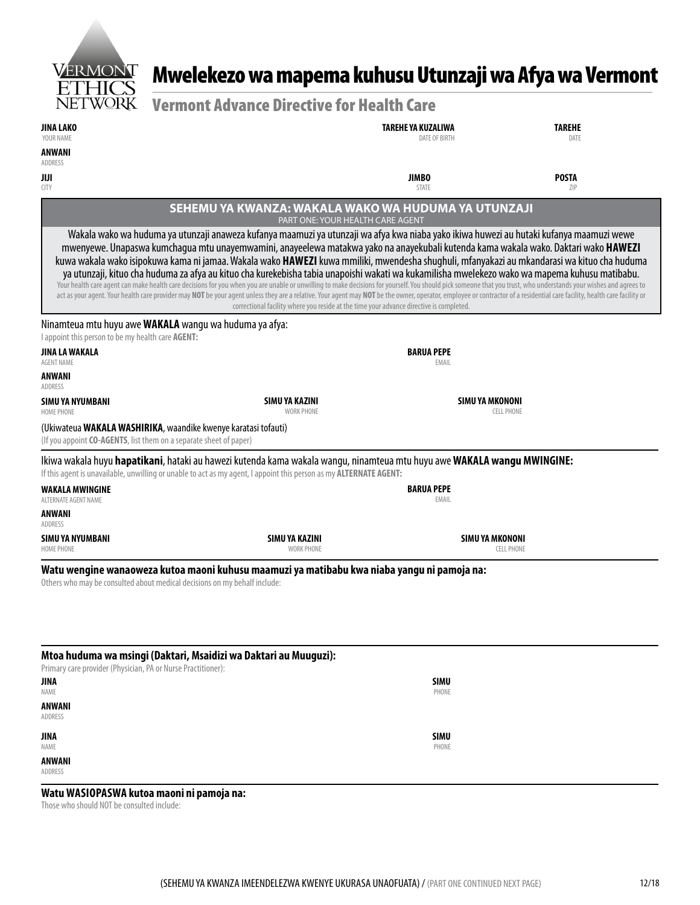

# Mwelekezo wa mapema kuhusu Utunzaji wa Afya wa Vermont

| <b>Vermont Advance Directive for Health Care</b> |  |
|--------------------------------------------------|--|
|--------------------------------------------------|--|

| YOUR NAME<br><b>DATE OF BIRTH</b><br>DATE<br>ANWANI<br>ADDRESS<br><b>JIMBO</b><br><b>POSTA</b><br>JIJI<br><b>STATE</b><br><b>CITY</b><br>ZIP<br>SEHEMU YA KWANZA: WAKALA WAKO WA HUDUMA YA UTUNZAJI<br>PART ONE: YOUR HEALTH CARE AGENT<br>Wakala wako wa huduma ya utunzaji anaweza kufanya maamuzi ya utunzaji wa afya kwa niaba yako ikiwa huwezi au hutaki kufanya maamuzi wewe<br>mwenyewe. Unapaswa kumchagua mtu unayemwamini, anayeelewa matakwa yako na anayekubali kutenda kama wakala wako. Daktari wako HAWEZI<br>kuwa wakala wako isipokuwa kama ni jamaa. Wakala wako HAWEZI kuwa mmiliki, mwendesha shughuli, mfanyakazi au mkandarasi wa kituo cha huduma<br>ya utunzaji, kituo cha huduma za afya au kituo cha kurekebisha tabia unapoishi wakati wa kukamilisha mwelekezo wako wa mapema kuhusu matibabu.<br>Your health care agent can make health care decisions for you when you are unable or unwilling to make decisions for yourself. You should pick someone that you trust, who understands your wishes and agrees to<br>act as your agent. Your health care provider may NOT be your agent unless they are a relative. Your agent may NOT be the owner, operator, employee or contractor of a residential care facility, health care facility or<br>correctional facility where you reside at the time your advance directive is completed.<br>Ninamteua mtu huyu awe WAKALA wangu wa huduma ya afya:<br>I appoint this person to be my health care AGENT:<br><b>BARUA PEPE</b><br>JINA LA WAKALA<br>EMAIL<br><b>AGENT NAME</b><br>ANWANI<br>ADDRESS<br><b>SIMU YA MKONONI</b><br>SIMU YA KAZINI<br>SIMU YA NYUMBANI<br><b>WORK PHONE</b><br>CELL PHONE<br><b>HOME PHONE</b><br>(Ukiwateua WAKALA WASHIRIKA, waandike kwenye karatasi tofauti)<br>(If you appoint CO-AGENTS, list them on a separate sheet of paper)<br>Ikiwa wakala huyu hapatikani, hataki au hawezi kutenda kama wakala wangu, ninamteua mtu huyu awe WAKALA wangu MWINGINE:<br>If this agent is unavailable, unwilling or unable to act as my agent, I appoint this person as my ALTERNATE AGENT:<br><b>BARUA PEPE</b><br><b>WAKALA MWINGINE</b><br>EMAIL<br>ALTERNATE AGENT NAME<br>ANWANI<br>ADDRESS<br>SIMU YA MKONONI<br>SIMU YA NYUMBANI<br>SIMU YA KAZINI<br><b>WORK PHONE</b><br><b>CELL PHONE</b><br><b>HOME PHONE</b><br>Watu wengine wanaoweza kutoa maoni kuhusu maamuzi ya matibabu kwa niaba yangu ni pamoja na:<br>Others who may be consulted about medical decisions on my behalf include:<br>Mtoa huduma wa msingi (Daktari, Msaidizi wa Daktari au Muuguzi):<br>Primary care provider (Physician, PA or Nurse Practitioner): | JINA LAKO |  | TAREHE YA KUZALIWA | <b>TAREHE</b> |  |  |
|-----------------------------------------------------------------------------------------------------------------------------------------------------------------------------------------------------------------------------------------------------------------------------------------------------------------------------------------------------------------------------------------------------------------------------------------------------------------------------------------------------------------------------------------------------------------------------------------------------------------------------------------------------------------------------------------------------------------------------------------------------------------------------------------------------------------------------------------------------------------------------------------------------------------------------------------------------------------------------------------------------------------------------------------------------------------------------------------------------------------------------------------------------------------------------------------------------------------------------------------------------------------------------------------------------------------------------------------------------------------------------------------------------------------------------------------------------------------------------------------------------------------------------------------------------------------------------------------------------------------------------------------------------------------------------------------------------------------------------------------------------------------------------------------------------------------------------------------------------------------------------------------------------------------------------------------------------------------------------------------------------------------------------------------------------------------------------------------------------------------------------------------------------------------------------------------------------------------------------------------------------------------------------------------------------------------------------------------------------------------------------------------------------------------------------------------------------------------------------------------------------------------------------------------------------------------------------------------------------------------------------------------------|-----------|--|--------------------|---------------|--|--|
|                                                                                                                                                                                                                                                                                                                                                                                                                                                                                                                                                                                                                                                                                                                                                                                                                                                                                                                                                                                                                                                                                                                                                                                                                                                                                                                                                                                                                                                                                                                                                                                                                                                                                                                                                                                                                                                                                                                                                                                                                                                                                                                                                                                                                                                                                                                                                                                                                                                                                                                                                                                                                                               |           |  |                    |               |  |  |
|                                                                                                                                                                                                                                                                                                                                                                                                                                                                                                                                                                                                                                                                                                                                                                                                                                                                                                                                                                                                                                                                                                                                                                                                                                                                                                                                                                                                                                                                                                                                                                                                                                                                                                                                                                                                                                                                                                                                                                                                                                                                                                                                                                                                                                                                                                                                                                                                                                                                                                                                                                                                                                               |           |  |                    |               |  |  |
|                                                                                                                                                                                                                                                                                                                                                                                                                                                                                                                                                                                                                                                                                                                                                                                                                                                                                                                                                                                                                                                                                                                                                                                                                                                                                                                                                                                                                                                                                                                                                                                                                                                                                                                                                                                                                                                                                                                                                                                                                                                                                                                                                                                                                                                                                                                                                                                                                                                                                                                                                                                                                                               |           |  |                    |               |  |  |
|                                                                                                                                                                                                                                                                                                                                                                                                                                                                                                                                                                                                                                                                                                                                                                                                                                                                                                                                                                                                                                                                                                                                                                                                                                                                                                                                                                                                                                                                                                                                                                                                                                                                                                                                                                                                                                                                                                                                                                                                                                                                                                                                                                                                                                                                                                                                                                                                                                                                                                                                                                                                                                               |           |  |                    |               |  |  |
|                                                                                                                                                                                                                                                                                                                                                                                                                                                                                                                                                                                                                                                                                                                                                                                                                                                                                                                                                                                                                                                                                                                                                                                                                                                                                                                                                                                                                                                                                                                                                                                                                                                                                                                                                                                                                                                                                                                                                                                                                                                                                                                                                                                                                                                                                                                                                                                                                                                                                                                                                                                                                                               |           |  |                    |               |  |  |
|                                                                                                                                                                                                                                                                                                                                                                                                                                                                                                                                                                                                                                                                                                                                                                                                                                                                                                                                                                                                                                                                                                                                                                                                                                                                                                                                                                                                                                                                                                                                                                                                                                                                                                                                                                                                                                                                                                                                                                                                                                                                                                                                                                                                                                                                                                                                                                                                                                                                                                                                                                                                                                               |           |  |                    |               |  |  |
|                                                                                                                                                                                                                                                                                                                                                                                                                                                                                                                                                                                                                                                                                                                                                                                                                                                                                                                                                                                                                                                                                                                                                                                                                                                                                                                                                                                                                                                                                                                                                                                                                                                                                                                                                                                                                                                                                                                                                                                                                                                                                                                                                                                                                                                                                                                                                                                                                                                                                                                                                                                                                                               |           |  |                    |               |  |  |
|                                                                                                                                                                                                                                                                                                                                                                                                                                                                                                                                                                                                                                                                                                                                                                                                                                                                                                                                                                                                                                                                                                                                                                                                                                                                                                                                                                                                                                                                                                                                                                                                                                                                                                                                                                                                                                                                                                                                                                                                                                                                                                                                                                                                                                                                                                                                                                                                                                                                                                                                                                                                                                               |           |  |                    |               |  |  |
|                                                                                                                                                                                                                                                                                                                                                                                                                                                                                                                                                                                                                                                                                                                                                                                                                                                                                                                                                                                                                                                                                                                                                                                                                                                                                                                                                                                                                                                                                                                                                                                                                                                                                                                                                                                                                                                                                                                                                                                                                                                                                                                                                                                                                                                                                                                                                                                                                                                                                                                                                                                                                                               |           |  |                    |               |  |  |
|                                                                                                                                                                                                                                                                                                                                                                                                                                                                                                                                                                                                                                                                                                                                                                                                                                                                                                                                                                                                                                                                                                                                                                                                                                                                                                                                                                                                                                                                                                                                                                                                                                                                                                                                                                                                                                                                                                                                                                                                                                                                                                                                                                                                                                                                                                                                                                                                                                                                                                                                                                                                                                               |           |  |                    |               |  |  |
|                                                                                                                                                                                                                                                                                                                                                                                                                                                                                                                                                                                                                                                                                                                                                                                                                                                                                                                                                                                                                                                                                                                                                                                                                                                                                                                                                                                                                                                                                                                                                                                                                                                                                                                                                                                                                                                                                                                                                                                                                                                                                                                                                                                                                                                                                                                                                                                                                                                                                                                                                                                                                                               |           |  |                    |               |  |  |
|                                                                                                                                                                                                                                                                                                                                                                                                                                                                                                                                                                                                                                                                                                                                                                                                                                                                                                                                                                                                                                                                                                                                                                                                                                                                                                                                                                                                                                                                                                                                                                                                                                                                                                                                                                                                                                                                                                                                                                                                                                                                                                                                                                                                                                                                                                                                                                                                                                                                                                                                                                                                                                               |           |  |                    |               |  |  |
|                                                                                                                                                                                                                                                                                                                                                                                                                                                                                                                                                                                                                                                                                                                                                                                                                                                                                                                                                                                                                                                                                                                                                                                                                                                                                                                                                                                                                                                                                                                                                                                                                                                                                                                                                                                                                                                                                                                                                                                                                                                                                                                                                                                                                                                                                                                                                                                                                                                                                                                                                                                                                                               |           |  |                    |               |  |  |
|                                                                                                                                                                                                                                                                                                                                                                                                                                                                                                                                                                                                                                                                                                                                                                                                                                                                                                                                                                                                                                                                                                                                                                                                                                                                                                                                                                                                                                                                                                                                                                                                                                                                                                                                                                                                                                                                                                                                                                                                                                                                                                                                                                                                                                                                                                                                                                                                                                                                                                                                                                                                                                               |           |  |                    |               |  |  |
|                                                                                                                                                                                                                                                                                                                                                                                                                                                                                                                                                                                                                                                                                                                                                                                                                                                                                                                                                                                                                                                                                                                                                                                                                                                                                                                                                                                                                                                                                                                                                                                                                                                                                                                                                                                                                                                                                                                                                                                                                                                                                                                                                                                                                                                                                                                                                                                                                                                                                                                                                                                                                                               |           |  |                    |               |  |  |
| <b>JINA</b><br><b>SIMU</b>                                                                                                                                                                                                                                                                                                                                                                                                                                                                                                                                                                                                                                                                                                                                                                                                                                                                                                                                                                                                                                                                                                                                                                                                                                                                                                                                                                                                                                                                                                                                                                                                                                                                                                                                                                                                                                                                                                                                                                                                                                                                                                                                                                                                                                                                                                                                                                                                                                                                                                                                                                                                                    |           |  |                    |               |  |  |
| NAME<br>PHONE<br><b>ANWANI</b>                                                                                                                                                                                                                                                                                                                                                                                                                                                                                                                                                                                                                                                                                                                                                                                                                                                                                                                                                                                                                                                                                                                                                                                                                                                                                                                                                                                                                                                                                                                                                                                                                                                                                                                                                                                                                                                                                                                                                                                                                                                                                                                                                                                                                                                                                                                                                                                                                                                                                                                                                                                                                |           |  |                    |               |  |  |

| - |  |
|---|--|

NAME

**ANWANI** ADDRESS

**Watu WASIOPASWA kutoa maoni ni pamoja na:**

Those who should NOT be consulted include:

**SIMU** PHONE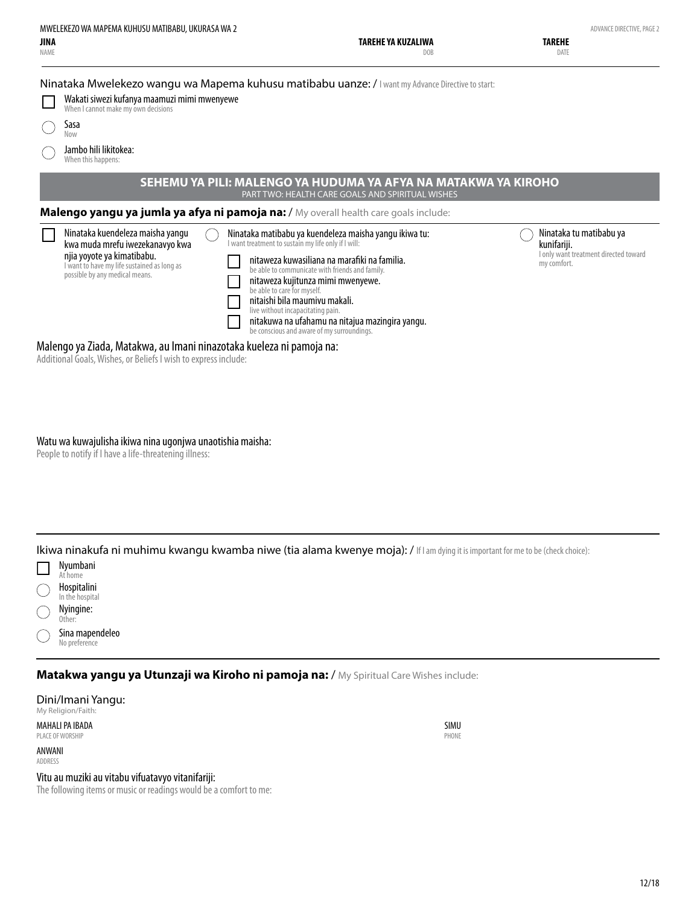| MWELEKEZO WA MAPEMA KUHUSU MATIBABU, UKURASA WA 2<br>JINA<br>NAME                                                                                                                                                                                                                                                                                                                                                                                                                    | TAREHE YA KUZALIWA<br>DOB                                                                                                                                                                                                                         | ADVANCE DIRECTIVE, PAGE 2<br><b>TAREHE</b><br>DATE                                             |
|--------------------------------------------------------------------------------------------------------------------------------------------------------------------------------------------------------------------------------------------------------------------------------------------------------------------------------------------------------------------------------------------------------------------------------------------------------------------------------------|---------------------------------------------------------------------------------------------------------------------------------------------------------------------------------------------------------------------------------------------------|------------------------------------------------------------------------------------------------|
| Ninataka Mwelekezo wangu wa Mapema kuhusu matibabu uanze: / I want my Advance Directive to start:<br>Wakati siwezi kufanya maamuzi mimi mwenyewe<br>When I cannot make my own decisions<br>Sasa<br>Now<br>Jambo hili likitokea:<br>When this happens:                                                                                                                                                                                                                                |                                                                                                                                                                                                                                                   |                                                                                                |
| SEHEMU YA PILI: MALENGO YA HUDUMA YA AFYA NA MATAKWA YA KIROHO                                                                                                                                                                                                                                                                                                                                                                                                                       | PART TWO: HEALTH CARE GOALS AND SPIRITUAL WISHES                                                                                                                                                                                                  |                                                                                                |
| Malengo yangu ya jumla ya afya ni pamoja na: / My overall health care goals include:<br>Ninataka kuendeleza maisha yangu<br>I want treatment to sustain my life only if I will:<br>kwa muda mrefu iwezekanavyo kwa<br>njia yoyote ya kimatibabu.<br>I want to have my life sustained as long as<br>possible by any medical means.<br>be able to care for myself.<br>nitaishi bila maumiyu makali.<br>live without incapacitating pain.<br>be conscious and aware of my surroundings. | Ninataka matibabu ya kuendeleza maisha yangu ikiwa tu:<br>nitaweza kuwasiliana na marafiki na familia.<br>be able to communicate with friends and family.<br>nitaweza kujitunza mimi mwenyewe.<br>nitakuwa na ufahamu na nitajua mazingira yangu. | Ninataka tu matibabu ya<br>kunifariji.<br>I only want treatment directed toward<br>my comfort. |

Additional Goals, Wishes, or Beliefs I wish to express include:

Watu wa kuwajulisha ikiwa nina ugonjwa unaotishia maisha:

People to notify if I have a life-threatening illness:

Ikiwa ninakufa ni muhimu kwangu kwamba niwe (tia alama kwenye moja): / If I am dying it is important for me to be (check choice):



**Matakwa yangu ya Utunzaji wa Kiroho ni pamoja na:** / My Spiritual Care Wishes include:

Dini/Imani Yangu: My Religion/Faith:

MAHALI PA IBADA PLACE OF WORSHIP

ANWANI ADDRESS



Vitu au muziki au vitabu vifuatavyo vitanifariji:

The following items or music or readings would be a comfort to me: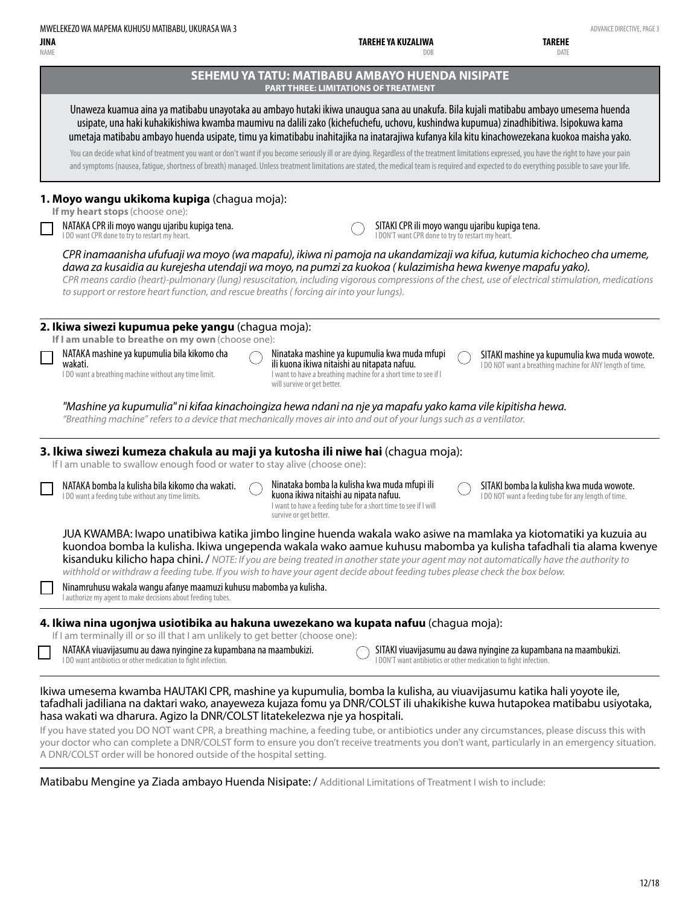**TAREHE**

| NAME | DOB                                                                                                                                                                                                                                                                                                                                                                                                                                                                                                                                                                                                                                                                                                 | DATE                                                                                                      |
|------|-----------------------------------------------------------------------------------------------------------------------------------------------------------------------------------------------------------------------------------------------------------------------------------------------------------------------------------------------------------------------------------------------------------------------------------------------------------------------------------------------------------------------------------------------------------------------------------------------------------------------------------------------------------------------------------------------------|-----------------------------------------------------------------------------------------------------------|
|      | SEHEMU YA TATU: MATIBABU AMBAYO HUENDA NISIPATE<br><b>PART THREE: LIMITATIONS OF TREATMENT</b>                                                                                                                                                                                                                                                                                                                                                                                                                                                                                                                                                                                                      |                                                                                                           |
|      | Unaweza kuamua aina ya matibabu unayotaka au ambayo hutaki ikiwa unaugua sana au unakufa. Bila kujali matibabu ambayo umesema huenda<br>usipate, una haki kuhakikishiwa kwamba maumivu na dalili zako (kichefuchefu, uchovu, kushindwa kupumua) zinadhibitiwa. Isipokuwa kama<br>umetaja matibabu ambayo huenda usipate, timu ya kimatibabu inahitajika na inatarajiwa kufanya kila kitu kinachowezekana kuokoa maisha yako.                                                                                                                                                                                                                                                                        |                                                                                                           |
|      | You can decide what kind of treatment you want or don't want if you become seriously ill or are dying. Regardless of the treatment limitations expressed, you have the right to have your pain<br>and symptoms (nausea, fatigue, shortness of breath) managed. Unless treatment limitations are stated, the medical team is required and expected to do everything possible to save your life.                                                                                                                                                                                                                                                                                                      |                                                                                                           |
|      | 1. Moyo wangu ukikoma kupiga (chagua moja):<br>If my heart stops (choose one):                                                                                                                                                                                                                                                                                                                                                                                                                                                                                                                                                                                                                      |                                                                                                           |
|      | NATAKA CPR ili moyo wangu ujaribu kupiga tena.<br>SITAKI CPR ili moyo wangu ujaribu kupiga tena.<br>I DO want CPR done to try to restart my heart.<br>I DON'T want CPR done to try to restart my heart.                                                                                                                                                                                                                                                                                                                                                                                                                                                                                             |                                                                                                           |
|      | CPR inamaanisha ufufuaji wa moyo (wa mapafu), ikiwa ni pamoja na ukandamizaji wa kifua, kutumia kichocheo cha umeme,<br>dawa za kusaidia au kurejesha utendaji wa moyo, na pumzi za kuokoa (kulazimisha hewa kwenye mapafu yako).<br>CPR means cardio (heart)-pulmonary (lung) resuscitation, including vigorous compressions of the chest, use of electrical stimulation, medications<br>to support or restore heart function, and rescue breaths (forcing air into your lungs).                                                                                                                                                                                                                   |                                                                                                           |
|      | 2. Ikiwa siwezi kupumua peke yangu (chaqua moja):<br>If I am unable to breathe on my own (choose one):                                                                                                                                                                                                                                                                                                                                                                                                                                                                                                                                                                                              |                                                                                                           |
|      | NATAKA mashine ya kupumulia bila kikomo cha<br>Ninataka mashine ya kupumulia kwa muda mfupi<br>ili kuona ikiwa nitaishi au nitapata nafuu.<br>wakati.<br>I DO want a breathing machine without any time limit.<br>I want to have a breathing machine for a short time to see if I<br>will survive or get better.                                                                                                                                                                                                                                                                                                                                                                                    | SITAKI mashine ya kupumulia kwa muda wowote.<br>I DO NOT want a breathing machine for ANY length of time. |
|      | "Mashine ya kupumulia" ni kifaa kinachoingiza hewa ndani na nje ya mapafu yako kama vile kipitisha hewa.<br>"Breathing machine" refers to a device that mechanically moves air into and out of your lungs such as a ventilator.                                                                                                                                                                                                                                                                                                                                                                                                                                                                     |                                                                                                           |
|      | 3. Ikiwa siwezi kumeza chakula au maji ya kutosha ili niwe hai (chagua moja):<br>If I am unable to swallow enough food or water to stay alive (choose one):                                                                                                                                                                                                                                                                                                                                                                                                                                                                                                                                         |                                                                                                           |
|      | Ninataka bomba la kulisha kwa muda mfupi ili<br>NATAKA bomba la kulisha bila kikomo cha wakati.<br>kuona ikiwa nitaishi au nipata nafuu.<br>I DO want a feeding tube without any time limits.<br>I want to have a feeding tube for a short time to see if I will<br>survive or get better.                                                                                                                                                                                                                                                                                                                                                                                                          | SITAKI bomba la kulisha kwa muda wowote.<br>I DO NOT want a feeding tube for any length of time.          |
|      | JUA KWAMBA: lwapo unatibiwa katika jimbo lingine huenda wakala wako asiwe na mamlaka ya kiotomatiki ya kuzuia au<br>kuondoa bomba la kulisha. Ikiwa ungependa wakala wako aamue kuhusu mabomba ya kulisha tafadhali tia alama kwenye<br>kisanduku kilicho hapa chini. / NOTE: If you are being treated in another state your agent may not automatically have the authority to<br>withhold or withdraw a feeding tube. If you wish to have your agent decide about feeding tubes please check the box below.                                                                                                                                                                                        |                                                                                                           |
|      | Ninamruhusu wakala wangu afanye maamuzi kuhusu mabomba ya kulisha.<br>I authorize my agent to make decisions about feeding tubes.                                                                                                                                                                                                                                                                                                                                                                                                                                                                                                                                                                   |                                                                                                           |
|      | 4. Ikiwa nina ugonjwa usiotibika au hakuna uwezekano wa kupata nafuu (chagua moja):<br>If I am terminally ill or so ill that I am unlikely to get better (choose one):                                                                                                                                                                                                                                                                                                                                                                                                                                                                                                                              |                                                                                                           |
|      | NATAKA viuavijasumu au dawa nyingine za kupambana na maambukizi.<br>SITAKI viuavijasumu au dawa nyingine za kupambana na maambukizi.<br>I DON'T want antibiotics or other medication to fight infection.<br>I DO want antibiotics or other medication to fight infection.                                                                                                                                                                                                                                                                                                                                                                                                                           |                                                                                                           |
|      | Ikiwa umesema kwamba HAUTAKI CPR, mashine ya kupumulia, bomba la kulisha, au viuavijasumu katika hali yoyote ile,<br>tafadhali jadiliana na daktari wako, anayeweza kujaza fomu ya DNR/COLST ili uhakikishe kuwa hutapokea matibabu usiyotaka,<br>hasa wakati wa dharura. Agizo la DNR/COLST litatekelezwa nje ya hospitali.<br>If you have stated you DO NOT want CPR, a breathing machine, a feeding tube, or antibiotics under any circumstances, please discuss this with<br>your doctor who can complete a DNR/COLST form to ensure you don't receive treatments you don't want, particularly in an emergency situation.<br>A DNR/COLST order will be honored outside of the hospital setting. |                                                                                                           |

Matibabu Mengine ya Ziada ambayo Huenda Nisipate: / Additional Limitations of Treatment I wish to include: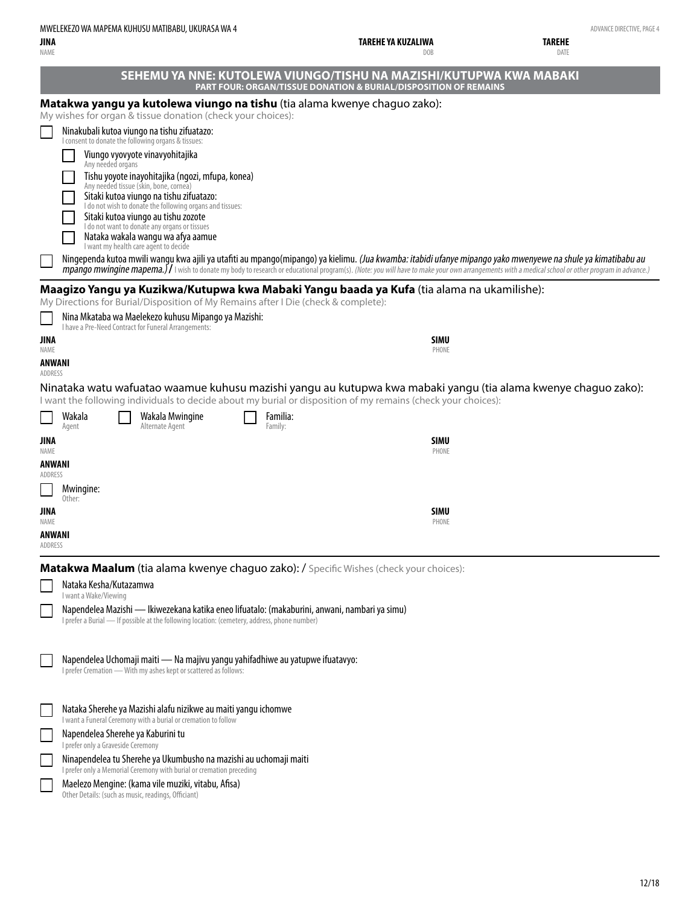IVE, PAGE 4

| JINA<br><b>NAME</b>      | MWELEKEZO WA MAPEMA KUHUSU MATIBABU, UKURASA WA 4                                                                                | TAREHE YA KUZALIWA                                                                                                                                                                                                              | ADVANCE DIRECTIVE, PA<br>TAREHE<br>DATE |
|--------------------------|----------------------------------------------------------------------------------------------------------------------------------|---------------------------------------------------------------------------------------------------------------------------------------------------------------------------------------------------------------------------------|-----------------------------------------|
|                          |                                                                                                                                  | DOB<br>SEHEMU YA NNE: KUTOLEWA VIUNGO/TISHU NA MAZISHI/KUTUPWA KWA MABAKI                                                                                                                                                       |                                         |
|                          |                                                                                                                                  | <b>PART FOUR: ORGAN/TISSUE DONATION &amp; BURIAL/DISPOSITION OF REMAINS</b>                                                                                                                                                     |                                         |
|                          | My wishes for organ & tissue donation (check your choices):                                                                      | Matakwa yangu ya kutolewa viungo na tishu (tia alama kwenye chaguo zako):                                                                                                                                                       |                                         |
|                          | Ninakubali kutoa viungo na tishu zifuatazo:<br>I consent to donate the following organs & tissues:                               |                                                                                                                                                                                                                                 |                                         |
|                          | Viungo vyovyote vinavyohitajika                                                                                                  |                                                                                                                                                                                                                                 |                                         |
|                          | Any needed organs<br>Tishu yoyote inayohitajika (ngozi, mfupa, konea)                                                            |                                                                                                                                                                                                                                 |                                         |
|                          | Any needed tissue (skin, bone, cornea)<br>Sitaki kutoa viungo na tishu zifuatazo:                                                |                                                                                                                                                                                                                                 |                                         |
|                          | I do not wish to donate the following organs and tissues:<br>Sitaki kutoa viungo au tishu zozote                                 |                                                                                                                                                                                                                                 |                                         |
|                          | I do not want to donate any organs or tissues<br>Nataka wakala wangu wa afya aamue                                               |                                                                                                                                                                                                                                 |                                         |
|                          | I want my health care agent to decide                                                                                            | Ningependa kutoa mwili wangu kwa ajili ya utafiti au mpango(mipango) ya kielimu. (Jua kwamba: itabidi ufanye mipango yako mwenyewe na shule ya kimatibabu au                                                                    |                                         |
|                          |                                                                                                                                  | mpango mwingine mapema. If I wish to donate my body to research or educational program(s). (Note: you will have to make your own arrangements with a medical school or other program in advance.)                               |                                         |
|                          | My Directions for Burial/Disposition of My Remains after I Die (check & complete):                                               | Maagizo Yangu ya Kuzikwa/Kutupwa kwa Mabaki Yangu baada ya Kufa (tia alama na ukamilishe):                                                                                                                                      |                                         |
|                          | Nina Mkataba wa Maelekezo kuhusu Mipango ya Mazishi:                                                                             |                                                                                                                                                                                                                                 |                                         |
| JINA                     | I have a Pre-Need Contract for Funeral Arrangements:                                                                             | SIMU                                                                                                                                                                                                                            |                                         |
| <b>NAME</b><br>ANWANI    |                                                                                                                                  | PHONE                                                                                                                                                                                                                           |                                         |
| ADDRESS                  |                                                                                                                                  |                                                                                                                                                                                                                                 |                                         |
|                          |                                                                                                                                  | Ninataka watu wafuatao waamue kuhusu mazishi yangu au kutupwa kwa mabaki yangu (tia alama kwenye chaguo zako):<br>I want the following individuals to decide about my burial or disposition of my remains (check your choices): |                                         |
|                          | Wakala<br>Wakala Mwingine<br>Alternate Agent<br>Agent                                                                            | Familia:<br>Family:                                                                                                                                                                                                             |                                         |
| JINA                     |                                                                                                                                  | SIMU                                                                                                                                                                                                                            |                                         |
| NAME<br>ANWANI           |                                                                                                                                  | PHONE                                                                                                                                                                                                                           |                                         |
| ADDRESS                  | Mwingine:                                                                                                                        |                                                                                                                                                                                                                                 |                                         |
|                          | Other:                                                                                                                           |                                                                                                                                                                                                                                 |                                         |
| JINA<br>NAME             |                                                                                                                                  | SIMU<br>PHONE                                                                                                                                                                                                                   |                                         |
| <b>ANWANI</b><br>ADDRESS |                                                                                                                                  |                                                                                                                                                                                                                                 |                                         |
|                          |                                                                                                                                  | Matakwa Maalum (tia alama kwenye chaguo zako): / Specific Wishes (check your choices):                                                                                                                                          |                                         |
|                          | Nataka Kesha/Kutazamwa<br>I want a Wake/Viewing                                                                                  |                                                                                                                                                                                                                                 |                                         |
|                          |                                                                                                                                  | Napendelea Mazishi — Ikiwezekana katika eneo lifuatalo: (makaburini, anwani, nambari ya simu)                                                                                                                                   |                                         |
|                          | I prefer a Burial - If possible at the following location: (cemetery, address, phone number)                                     |                                                                                                                                                                                                                                 |                                         |
|                          | Napendelea Uchomaji maiti — Na majivu yangu yahifadhiwe au yatupwe ifuatavyo:                                                    |                                                                                                                                                                                                                                 |                                         |
|                          | I prefer Cremation - With my ashes kept or scattered as follows:                                                                 |                                                                                                                                                                                                                                 |                                         |
|                          |                                                                                                                                  |                                                                                                                                                                                                                                 |                                         |
|                          |                                                                                                                                  |                                                                                                                                                                                                                                 |                                         |
|                          | Nataka Sherehe ya Mazishi alafu nizikwe au maiti yangu ichomwe<br>I want a Funeral Ceremony with a burial or cremation to follow |                                                                                                                                                                                                                                 |                                         |

Ninapendelea tu Sherehe ya Ukumbusho na mazishi au uchomaji maiti

I prefer only a Memorial Ceremony with burial or cremation preceding Maelezo Mengine: (kama vile muziki, vitabu, Afisa)

Other Details: (such as music, readings, Officiant)

 $\Box$ 

 $\Box$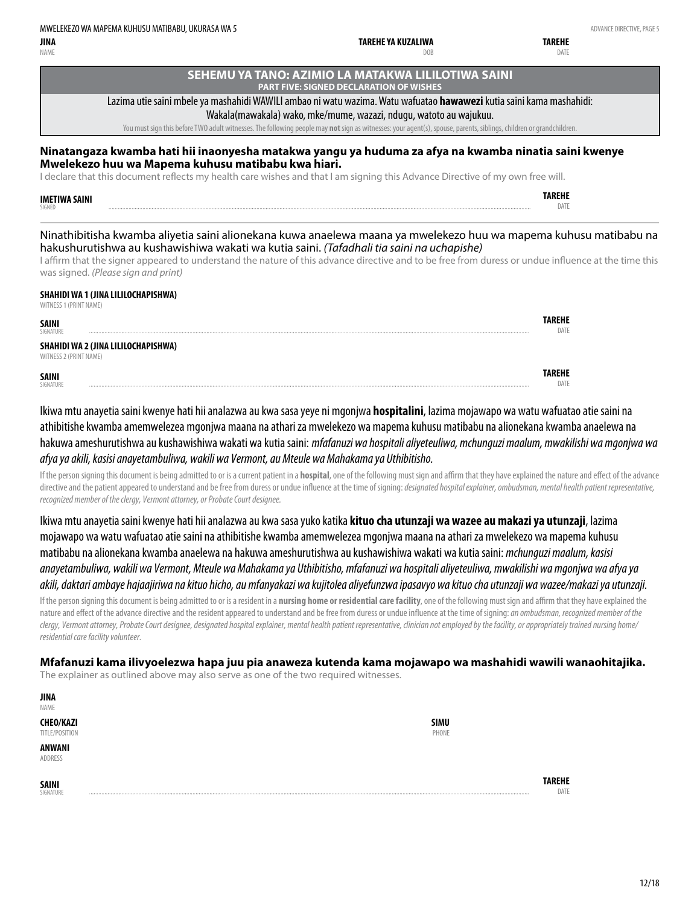**TAREHE DATE** 

NAME

#### **SEHEMU YA TANO: AZIMIO LA MATAKWA LILILOTIWA SAINI PART FIVE: SIGNED DECLARATION OF WISHES**

**TAREHE YA KUZALIWA**

DOB

#### Lazima utie saini mbele ya mashahidi WAWILI ambao ni watu wazima. Watu wafuatao **hawawezi** kutia saini kama mashahidi:

Wakala(mawakala) wako, mke/mume, wazazi, ndugu, watoto au wajukuu.

You must sign this before TWO adult witnesses. The following people may **not** sign as witnesses: your agent(s), spouse, parents, siblings, children or grandchildren.

#### **Ninatangaza kwamba hati hii inaonyesha matakwa yangu ya huduma za afya na kwamba ninatia saini kwenye Mwelekezo huu wa Mapema kuhusu matibabu kwa hiari.**

I declare that this document reflects my health care wishes and that I am signing this Advance Directive of my own free will.

#### **IMETIWA SAINI** SIGNED

Ninathibitisha kwamba aliyetia saini alionekana kuwa anaelewa maana ya mwelekezo huu wa mapema kuhusu matibabu na hakushurutishwa au kushawishiwa wakati wa kutia saini. *(Tafadhali tia saini na uchapishe)*

I affirm that the signer appeared to understand the nature of this advance directive and to be free from duress or undue influence at the time this was signed. *(Please sign and print)*

#### **SHAHIDI WA 1 (JINA LILILOCHAPISHWA)**

WITNESS 1 (PRINT NAME)

| <b>SAINI</b><br>SIGNATURE |                                     | DATI |
|---------------------------|-------------------------------------|------|
| WITNESS 2 (PRINT NAME)    | SHAHIDI WA 2 (JINA LILILOCHAPISHWA) |      |
| <b>SAINI</b><br>SIGNATURE |                                     |      |

Ikiwa mtu anayetia saini kwenye hati hii analazwa au kwa sasa yeye ni mgonjwa **hospitalini**, lazima mojawapo wa watu wafuatao atie saini na athibitishe kwamba amemwelezea mgonjwa maana na athari za mwelekezo wa mapema kuhusu matibabu na alionekana kwamba anaelewa na hakuwa ameshurutishwa au kushawishiwa wakati wa kutia saini: *mfafanuzi wa hospitali aliyeteuliwa, mchunguzi maalum, mwakilishi wa mgonjwa wa afya ya akili, kasisi anayetambuliwa, wakili wa Vermont, au Mteule wa Mahakama ya Uthibitisho.*

If the person signing this document is being admitted to or is a current patient in a **hospital**, one of the following must sign and affirm that they have explained the nature and effect of the advance directive and the patient appeared to understand and be free from duress or undue influence at the time of signing: *designated hospital explainer, ombudsman, mental health patient representative, recognized member of the clergy, Vermont attorney, or Probate Court designee.*

Ikiwa mtu anayetia saini kwenye hati hii analazwa au kwa sasa yuko katika **kituo cha utunzaji wa wazee au makazi ya utunzaji**, lazima mojawapo wa watu wafuatao atie saini na athibitishe kwamba amemwelezea mgonjwa maana na athari za mwelekezo wa mapema kuhusu matibabu na alionekana kwamba anaelewa na hakuwa ameshurutishwa au kushawishiwa wakati wa kutia saini: *mchunguzi maalum, kasisi anayetambuliwa, wakili wa Vermont, Mteule wa Mahakama ya Uthibitisho, mfafanuzi wa hospitali aliyeteuliwa, mwakilishi wa mgonjwa wa afya ya akili, daktari ambaye hajaajiriwa na kituo hicho, au mfanyakazi wa kujitolea aliyefunzwa ipasavyo wa kituo cha utunzaji wa wazee/makazi ya utunzaji.*

If the person signing this document is being admitted to or is a resident in a **nursing home or residential care facility**, one of the following must sign and affirm that they have explained the nature and effect of the advance directive and the resident appeared to understand and be free from duress or undue influence at the time of signing: *an ombudsman, recognized member of the clergy, Vermont attorney, Probate Court designee, designated hospital explainer, mental health patient representative, clinician not employed by the facility, or appropriately trained nursing home/ residential care facility volunteer.*

**Mfafanuzi kama ilivyoelezwa hapa juu pia anaweza kutenda kama mojawapo wa mashahidi wawili wanaohitajika.** The explainer as outlined above may also serve as one of the two required witnesses.

> **SIMU** PHONE

| JINA             |
|------------------|
| NAMF             |
| <b>CHEO/KAZI</b> |
|                  |

TITLE/POSITION

**ANWANI** ADDRESS

**SAINI** SIGNATURE

**TAREHE** DATE

**TAREHE** DATE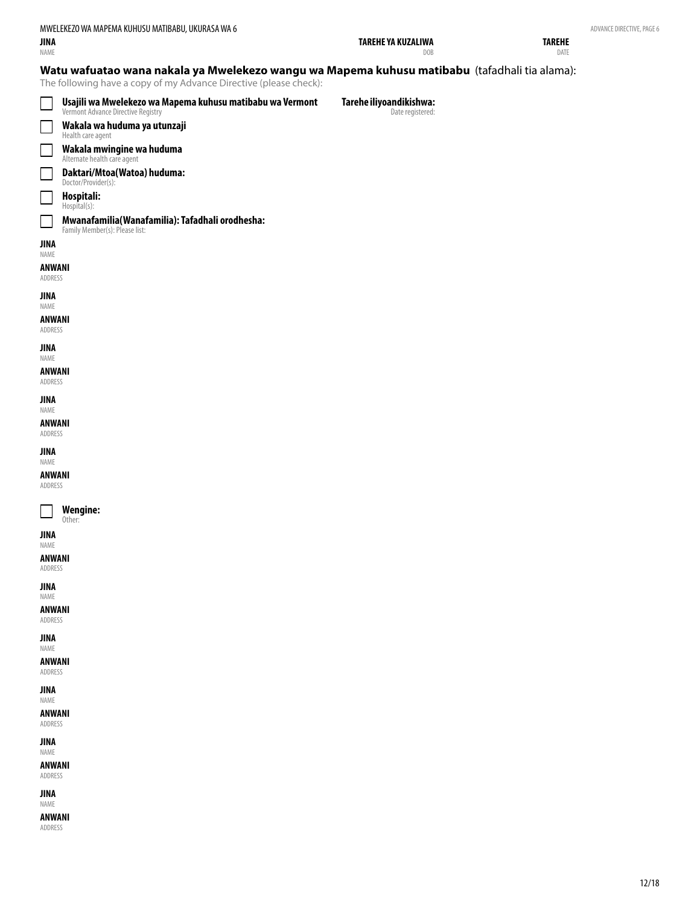NAME

| TAREHE YA KUZALIWA |  |
|--------------------|--|

DOB

**TAREHE** DATE

#### **Watu wafuatao wana nakala ya Mwelekezo wangu wa Mapema kuhusu matibabu** (tafadhali tia alama):

The following have a copy of my Advance Directive (please check):

|                                   | Usajili wa Mwelekezo wa Mapema kuhusu matibabu wa Vermont<br>Vermont Advance Directive Registry | Tarehe iliyoandikishwa:<br>Date registered: |
|-----------------------------------|-------------------------------------------------------------------------------------------------|---------------------------------------------|
| $\Box$                            | Wakala wa huduma ya utunzaji<br>Health care agent                                               |                                             |
| $\mathcal{L}$                     | <b>Wakala mwingine wa huduma</b><br>Alternate health care agent                                 |                                             |
| └                                 | Daktari/Mtoa(Watoa) huduma:<br>Doctor/Provider(s):                                              |                                             |
| $\mathcal{L}$                     | Hospitali:<br>Hospital(s):                                                                      |                                             |
| $\sim$                            | Mwanafamilia(Wanafamilia): Tafadhali orodhesha:<br>Family Member(s): Please list:               |                                             |
| JINA<br>NAME<br>ANWANI<br>ADDRESS |                                                                                                 |                                             |
| <b>JINA</b><br>NAME               |                                                                                                 |                                             |
| <b>ANWANI</b><br>ADDRESS          |                                                                                                 |                                             |
| <b>JINA</b><br>NAME               |                                                                                                 |                                             |
| <b>ANWANI</b><br>ADDRESS          |                                                                                                 |                                             |
| <b>JINA</b>                       |                                                                                                 |                                             |
| NAME<br><b>ANWANI</b>             |                                                                                                 |                                             |
| ADDRESS<br>JINA                   |                                                                                                 |                                             |
| NAME<br><b>ANWANI</b>             |                                                                                                 |                                             |
| ADDRESS                           |                                                                                                 |                                             |
|                                   | <b>Wengine:</b><br>Other:                                                                       |                                             |
| JINA<br>NAME                      |                                                                                                 |                                             |
| <b>ANWANI</b><br>ADDRESS          |                                                                                                 |                                             |
| JINA<br>NAME                      |                                                                                                 |                                             |
| <b>ANWANI</b><br>ADDRESS          |                                                                                                 |                                             |
| <b>JINA</b><br>NAME               |                                                                                                 |                                             |
| <b>ANWANI</b><br>ADDRESS          |                                                                                                 |                                             |
| <b>JINA</b>                       |                                                                                                 |                                             |
| NAME<br><b>ANWANI</b><br>ADDRESS  |                                                                                                 |                                             |
| <b>JINA</b><br>NAME               |                                                                                                 |                                             |
| <b>ANWANI</b><br>ADDRESS          |                                                                                                 |                                             |

**ANWANI** ADDRESS

ADVANCE DIRECTIVE, PAGE 6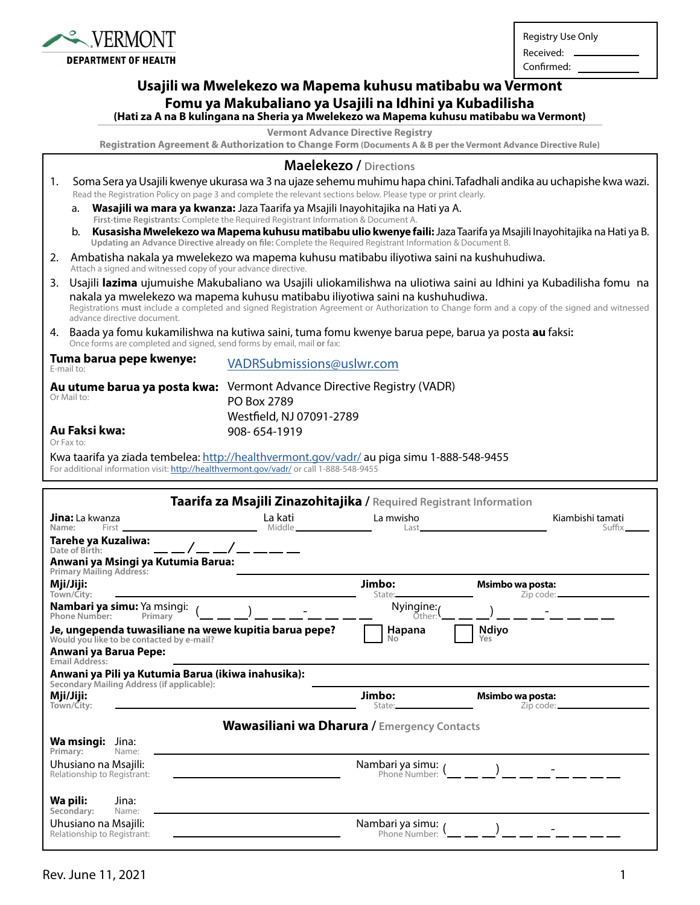

Registry Use Only

Received: Confirmed:

## **Usajili wa Mwelekezo wa Mapema kuhusu matibabu wa Vermont Fomu ya Makubaliano ya Usajili na Idhini ya Kubadilisha**

**(Hati za A na B kulingana na Sheria ya Mwelekezo wa Mapema kuhusu matibabu wa Vermont)**

**Vermont Advance Directive Registry**

**Registration Agreement & Authorization to Change Form (Documents A & B per the Vermont Advance Directive Rule)**

|                                                                                                                      |                                                                                                                                                                                                                                                                                                                                                                                      | <b>Maelekezo / Directions</b>                                                                                                                                                                                                     |
|----------------------------------------------------------------------------------------------------------------------|--------------------------------------------------------------------------------------------------------------------------------------------------------------------------------------------------------------------------------------------------------------------------------------------------------------------------------------------------------------------------------------|-----------------------------------------------------------------------------------------------------------------------------------------------------------------------------------------------------------------------------------|
| 1.<br>Read the Registration Policy on page 3 and complete the relevant sections below. Please type or print clearly. |                                                                                                                                                                                                                                                                                                                                                                                      | Soma Sera ya Usajili kwenye ukurasa wa 3 na ujaze sehemu muhimu hapa chini. Tafadhali andika au uchapishe kwa wazi.                                                                                                               |
|                                                                                                                      | a.                                                                                                                                                                                                                                                                                                                                                                                   | Wasajili wa mara ya kwanza: Jaza Taarifa ya Msajili Inayohitajika na Hati ya A.<br>First-time Registrants: Complete the Required Registrant Information & Document A.                                                             |
|                                                                                                                      | b.                                                                                                                                                                                                                                                                                                                                                                                   | Kusasisha Mwelekezo wa Mapema kuhusu matibabu ulio kwenye faili: Jaza Taarifa ya Msajili Inayohitajika na Hati ya B.<br>Updating an Advance Directive already on file: Complete the Required Registrant Information & Document B. |
|                                                                                                                      | Attach a signed and witnessed copy of your advance directive.                                                                                                                                                                                                                                                                                                                        | 2. Ambatisha nakala ya mwelekezo wa mapema kuhusu matibabu iliyotiwa saini na kushuhudiwa.                                                                                                                                        |
| 3.                                                                                                                   | Usajili lazima ujumuishe Makubaliano wa Usajili uliokamilishwa na uliotiwa saini au Idhini ya Kubadilisha fomu na<br>nakala ya mwelekezo wa mapema kuhusu matibabu iliyotiwa saini na kushuhudiwa.<br>Registrations must include a completed and signed Registration Agreement or Authorization to Change form and a copy of the signed and witnessed<br>advance directive document. |                                                                                                                                                                                                                                   |
|                                                                                                                      | 4. Baada ya fomu kukamilishwa na kutiwa saini, tuma fomu kwenye barua pepe, barua ya posta <b>au</b> faksi:<br>Once forms are completed and signed, send forms by email, mail or fax:                                                                                                                                                                                                |                                                                                                                                                                                                                                   |
|                                                                                                                      | Tuma barua pepe kwenye:<br>E-mail to:                                                                                                                                                                                                                                                                                                                                                | VADRSubmissions@uslwr.com                                                                                                                                                                                                         |
|                                                                                                                      | Au utume barua ya posta kwa:<br>Or Mail to:                                                                                                                                                                                                                                                                                                                                          | Vermont Advance Directive Registry (VADR)<br>PO Box 2789<br>Westfield, NJ 07091-2789                                                                                                                                              |
| Au Faksi kwa:<br>Or Fax to:                                                                                          |                                                                                                                                                                                                                                                                                                                                                                                      | 908-654-1919                                                                                                                                                                                                                      |

Kwa taarifa ya ziada tembelea:<http://healthvermont.gov/vadr/> au piga simu 1-888-548-9455 For additional information visit: <http://healthvermont.gov/vadr/> or call 1-888-548-9455

|                                                                                                    |                                        | Taarifa za Msajili Zinazohitajika / Required Registrant Information |                                                       |  |
|----------------------------------------------------------------------------------------------------|----------------------------------------|---------------------------------------------------------------------|-------------------------------------------------------|--|
| <b>Jina:</b> La kwanza<br>First<br>Name:<br><u> 1989 - Andrea Andrew Maria (h. 1989).</u>          | La kati<br>Middle ____________________ | La mwisho                                                           | Kiambishi tamati<br>Suffix.                           |  |
| Tarehe ya Kuzaliwa:<br>$\frac{1}{2}$ $\frac{1}{2}$<br>Date of Birth:                               |                                        |                                                                     |                                                       |  |
| Anwani ya Msingi ya Kutumia Barua:<br><b>Primary Mailing Address:</b>                              |                                        |                                                                     |                                                       |  |
| Mji/Jiji:<br>Town/City:                                                                            |                                        | Jimbo:<br>State:                                                    | Msimbo wa posta:<br>Zip code: _______________________ |  |
| Nambari ya simu: Ya msingi: (<br>Phone Number:<br>Primary                                          |                                        | Nyingine: $\mu$<br>Other:                                           |                                                       |  |
| Je, ungependa tuwasiliane na wewe kupitia barua pepe?<br>Would you like to be contacted by e-mail? |                                        | Hapana<br>No                                                        | <b>Ndiyo</b><br>Yes                                   |  |
| Anwani ya Barua Pepe:<br>Email Address:                                                            |                                        |                                                                     |                                                       |  |
| Anwani ya Pili ya Kutumia Barua (ikiwa inahusika):<br>Secondary Mailing Address (if applicable):   |                                        |                                                                     |                                                       |  |
| Mji/Jiji:<br>Town/City:                                                                            |                                        | Jimbo:<br>State:                                                    | Msimbo wa posta:                                      |  |
| <b>Wawasiliani wa Dharura / Emergency Contacts</b>                                                 |                                        |                                                                     |                                                       |  |
| <b>Wa msingi:</b> Jina:<br>Primary:<br>Name:                                                       |                                        |                                                                     |                                                       |  |
| Uhusiano na Msajili:<br>Relationship to Registrant:                                                |                                        | Nambari ya simu:<br>Phone Number:                                   |                                                       |  |
| Wa pili:<br>Jina:<br>Secondary:<br>Name:                                                           |                                        |                                                                     |                                                       |  |
| Uhusiano na Msajili:<br>Relationship to Registrant:                                                |                                        | Nambari ya simu: $\gamma$<br>Phone Number:                          |                                                       |  |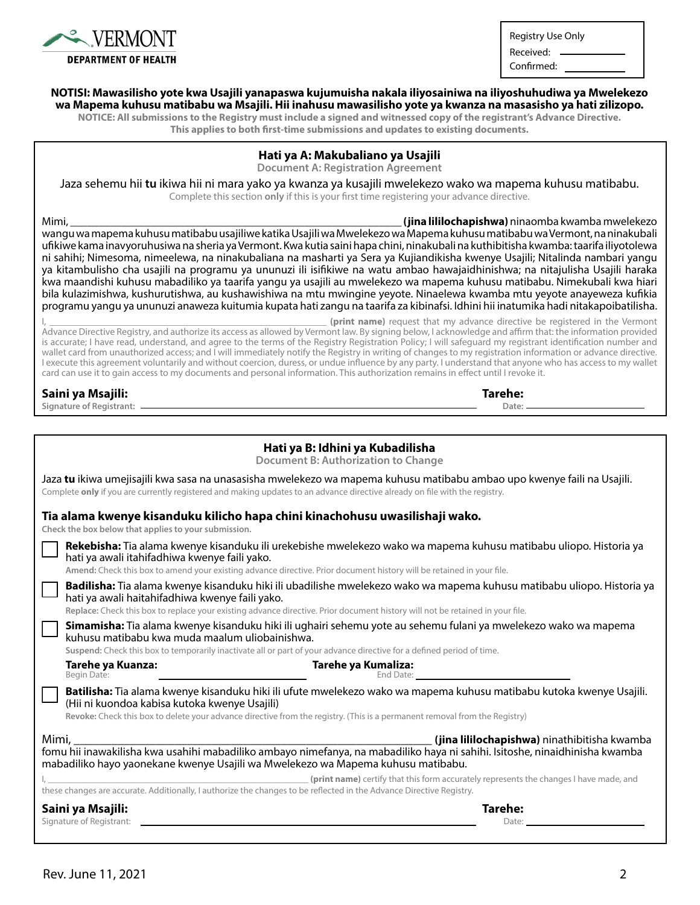

Registry Use Only Received:

Confirmed:

**Tarehe: Date:**

#### **NOTISI: Mawasilisho yote kwa Usajili yanapaswa kujumuisha nakala iliyosainiwa na iliyoshuhudiwa ya Mwelekezo wa Mapema kuhusu matibabu wa Msajili. Hii inahusu mawasilisho yote ya kwanza na masasisho ya hati zilizopo.**

**NOTICE: All submissions to the Registry must include a signed and witnessed copy of the registrant's Advance Directive. This applies to both first-time submissions and updates to existing documents.**

#### **Hati ya A: Makubaliano ya Usajili**

**Document A: Registration Agreement**

Jaza sehemu hii **tu** ikiwa hii ni mara yako ya kwanza ya kusajili mwelekezo wako wa mapema kuhusu matibabu. Complete this section **only** if this is your first time registering your advance directive.

Mimi, \_\_\_\_\_\_\_\_\_\_\_\_\_\_\_\_\_\_\_\_\_\_\_\_\_\_\_\_\_\_\_\_\_\_\_\_\_\_\_\_\_\_\_\_\_\_\_\_\_\_\_\_\_\_\_\_\_\_ **(jina lililochapishwa)** ninaomba kwamba mwelekezo wangu wa mapema kuhusu matibabu usajiliwe katika Usajili wa Mwelekezo wa Mapema kuhusu matibabu wa Vermont, na ninakubali ufikiwe kama inavyoruhusiwa na sheria ya Vermont. Kwa kutia saini hapa chini, ninakubali na kuthibitisha kwamba: taarifa iliyotolewa ni sahihi; Nimesoma, nimeelewa, na ninakubaliana na masharti ya Sera ya Kujiandikisha kwenye Usajili; Nitalinda nambari yangu ya kitambulisho cha usajili na programu ya ununuzi ili isifikiwe na watu ambao hawajaidhinishwa; na nitajulisha Usajili haraka kwa maandishi kuhusu mabadiliko ya taarifa yangu ya usajili au mwelekezo wa mapema kuhusu matibabu. Nimekubali kwa hiari bila kulazimishwa, kushurutishwa, au kushawishiwa na mtu mwingine yeyote. Ninaelewa kwamba mtu yeyote anayeweza kufikia programu yangu ya ununuzi anaweza kuitumia kupata hati zangu na taarifa za kibinafsi. Idhini hii inatumika hadi nitakapoibatilisha.

(print name) request that my advance directive be registered in the Vermont Advance Directive Registry, and authorize its access as allowed by Vermont law. By signing below, I acknowledge and affirm that: the information provided is accurate; I have read, understand, and agree to the terms of the Registry Registration Policy; I will safeguard my registrant identification number and wallet card from unauthorized access; and I will immediately notify the Registry in writing of changes to my registration information or advance directive. I execute this agreement voluntarily and without coercion, duress, or undue influence by any party. I understand that anyone who has access to my wallet card can use it to gain access to my documents and personal information. This authorization remains in effect until I revoke it.

|  |  | Saini ya Msajili: |
|--|--|-------------------|
|--|--|-------------------|

**Signature of Registrant:**

| Hati ya B: Idhini ya Kubadilisha<br><b>Document B: Authorization to Change</b>                                                                                                                                                                                                                             |                                              |
|------------------------------------------------------------------------------------------------------------------------------------------------------------------------------------------------------------------------------------------------------------------------------------------------------------|----------------------------------------------|
| Jaza tu ikiwa umejisajili kwa sasa na unasasisha mwelekezo wa mapema kuhusu matibabu ambao upo kwenye faili na Usajili.<br>Complete only if you are currently registered and making updates to an advance directive already on file with the registry.                                                     |                                              |
| Tia alama kwenye kisanduku kilicho hapa chini kinachohusu uwasilishaji wako.<br>Check the box below that applies to your submission.                                                                                                                                                                       |                                              |
| Rekebisha: Tia alama kwenye kisanduku ili urekebishe mwelekezo wako wa mapema kuhusu matibabu uliopo. Historia ya<br>hati ya awali itahifadhiwa kwenye faili yako.<br>Amend: Check this box to amend your existing advance directive. Prior document history will be retained in your file.                |                                              |
| Badilisha: Tia alama kwenye kisanduku hiki ili ubadilishe mwelekezo wako wa mapema kuhusu matibabu uliopo. Historia ya<br>hati ya awali haitahifadhiwa kwenye faili yako.<br>Replace: Check this box to replace your existing advance directive. Prior document history will not be retained in your file. |                                              |
| Simamisha: Tia alama kwenye kisanduku hiki ili ughairi sehemu yote au sehemu fulani ya mwelekezo wako wa mapema<br>kuhusu matibabu kwa muda maalum uliobainishwa.<br>Suspend: Check this box to temporarily inactivate all or part of your advance directive for a defined period of time.                 |                                              |
| Tarehe ya Kumaliza:<br>Tarehe ya Kuanza:<br>Begin Date:                                                                                                                                                                                                                                                    |                                              |
| Batilisha: Tia alama kwenye kisanduku hiki ili ufute mwelekezo wako wa mapema kuhusu matibabu kutoka kwenye Usajili.<br>(Hii ni kuondoa kabisa kutoka kwenye Usajili)<br>Revoke: Check this box to delete your advance directive from the registry. (This is a permanent removal from the Registry)        |                                              |
| Mimi,<br>mabadiliko hayo yaonekane kwenye Usajili wa Mwelekezo wa Mapema kuhusu matibabu.                                                                                                                                                                                                                  | (jina lililochapishwa) ninathibitisha kwamba |
| (print name) certify that this form accurately represents the changes I have made, and<br>these changes are accurate. Additionally, I authorize the changes to be reflected in the Advance Directive Registry.                                                                                             |                                              |
| Saini ya Msajili:<br>Signature of Registrant:                                                                                                                                                                                                                                                              | Tarehe:<br>Date:                             |